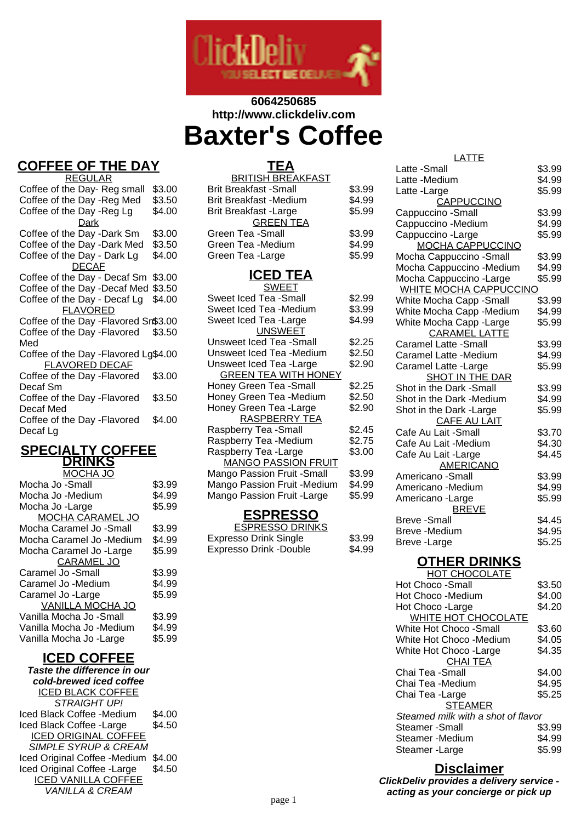

# **6064250685 http://www.clickdeliv.com Baxter's Coffee**

# **COFFEE OF THE DAY**

REGULAR Coffee of the Day- Reg small \$3.00<br>Coffee of the Day - Reg Med \$3.50 Coffee of the Day -Reg Med \$3.50<br>Coffee of the Day -Reg Lg \$4.00 Coffee of the Day -Reg Lg Dark Coffee of the Day -Dark Sm \$3.00<br>Coffee of the Day -Dark Med \$3.50 Coffee of the Day -Dark Med \$3.50<br>Coffee of the Day - Dark Lg \$4.00 Coffee of the Day - Dark Lg DECAF Coffee of the Day - Decaf Sm \$3.00 Coffee of the Day -Decaf Med \$3.50 Coffee of the Day - Decaf Lg \$4.00 **FLAVORED** Coffee of the Day -Flavored Sm\$3.00 Coffee of the Day -Flavored Med \$3.50 Coffee of the Day -Flavored Lg\$4.00 FLAVORED DECAF Coffee of the Day -Flavored Decaf Sm \$3.00 Coffee of the Day -Flavored Decaf Med \$3.50 Coffee of the Day -Flavored Decaf Lg \$4.00

#### **SPECIALTY COFFEE DRINKS** MOCHA JO

| Mocha Jo -Small          | \$3.99 |
|--------------------------|--------|
| Mocha Jo -Medium         | \$4.99 |
| Mocha Jo -Large          | \$5.99 |
| <b>MOCHA CARAMEL JO</b>  |        |
| Mocha Caramel Jo -Small  | \$3.99 |
| Mocha Caramel Jo -Medium | \$4.99 |
| Mocha Caramel Jo -Large  | \$5.99 |
| <b>CARAMEL JO</b>        |        |
| Caramel Jo -Small        | \$3.99 |
| Caramel Jo -Medium       | \$4.99 |
| Caramel Jo - Large       | \$5.99 |
| <b>VANILLA MOCHA JO</b>  |        |
| Vanilla Mocha Jo -Small  | \$3.99 |
| Vanilla Mocha Jo -Medium | \$4.99 |
| Vanilla Mocha Jo -Large  | \$5.99 |
|                          |        |

## **ICED COFFEE**

**Taste the difference in our cold-brewed iced coffee** ICED BLACK COFFEE STRAIGHT UP! Iced Black Coffee -Medium \$4.00 Iced Black Coffee -Large \$4.50 ICED ORIGINAL COFFEE SIMPLE SYRUP & CREAM Iced Original Coffee -Medium \$4.00 Iced Original Coffee -Large \$4.50 ICED VANILLA COFFEE VANILLA & CREAM

| TEA                           |        |
|-------------------------------|--------|
| <b>BRITISH BREAKFAST</b>      |        |
| <b>Brit Breakfast -Small</b>  | \$3.99 |
| <b>Brit Breakfast -Medium</b> | \$4.99 |
| <b>Brit Breakfast - Large</b> | \$5.99 |
| <b>GREEN TEA</b>              |        |
| Green Tea -Small              | \$3.99 |
| Green Tea -Medium             | \$4.99 |
| Green Tea - Large             | \$5.99 |
|                               |        |

### **ICED TEA**

| SWEET                       |        |
|-----------------------------|--------|
| Sweet Iced Tea -Small       | \$2.99 |
| Sweet Iced Tea -Medium      | \$3.99 |
| Sweet Iced Tea -Large       | \$4.99 |
| <b>UNSWEET</b>              |        |
| Unsweet Iced Tea -Small     | \$2.25 |
| Unsweet Iced Tea -Medium    | \$2.50 |
| Unsweet Iced Tea -Large     | \$2.90 |
| <b>GREEN TEA WITH HONEY</b> |        |
| Honey Green Tea - Small     | \$2.25 |
| Honey Green Tea -Medium     | \$2.50 |
| Honey Green Tea - Large     | \$2.90 |
| <b>RASPBERRY TEA</b>        |        |
| Raspberry Tea -Small        | \$2.45 |
| Raspberry Tea -Medium       | \$2.75 |
| Raspberry Tea - Large       | \$3.00 |
| <b>MANGO PASSION FRUIT</b>  |        |
| Mango Passion Fruit -Small  | \$3.99 |
| Mango Passion Fruit -Medium | \$4.99 |
| Mango Passion Fruit - Large | \$5.99 |
|                             |        |

#### **ESPRESSO**

| <b>ESPRESSO DRINKS</b>        |        |
|-------------------------------|--------|
| <b>Expresso Drink Single</b>  | \$3.99 |
| <b>Expresso Drink -Double</b> | \$4.99 |

| LATTE                                           |        |
|-------------------------------------------------|--------|
| Latte -Small                                    | \$3.99 |
| Latte -Medium                                   | \$4.99 |
| Latte -Large                                    | \$5.99 |
| CAPPUCCINO                                      |        |
| Cappuccino - Small                              | \$3.99 |
| Cappuccino -Medium                              | \$4.99 |
| Cappuccino - Large                              | \$5.99 |
| <b>MOCHA CAPPUCCINO</b>                         |        |
| Mocha Cappuccino - Small                        | \$3.99 |
| Mocha Cappuccino -Medium                        | \$4.99 |
| Mocha Cappuccino - Large                        | \$5.99 |
| <b>WHITE MOCHA CAPPUCCINO</b>                   |        |
| White Mocha Capp - Small                        | \$3.99 |
| White Mocha Capp - Medium                       | \$4.99 |
| White Mocha Capp - Large                        | \$5.99 |
| <b>CARAMEL LATTE</b>                            |        |
| <b>Caramel Latte -Small</b>                     | \$3.99 |
| Caramel Latte -Medium                           | \$4.99 |
| Caramel Latte - Large                           | \$5.99 |
| SHOT IN THE DAR                                 |        |
| Shot in the Dark -Small                         | \$3.99 |
| Shot in the Dark -Medium                        | \$4.99 |
| Shot in the Dark - Large<br><b>CAFE AU LAIT</b> | \$5.99 |
| Cafe Au Lait -Small                             | \$3.70 |
| Cafe Au Lait -Medium                            | \$4.30 |
| Cafe Au Lait - Large                            | \$4.45 |
| <b>AMERICANO</b>                                |        |
| Americano -Small                                | \$3.99 |
| Americano -Medium                               | \$4.99 |
| Americano - Large                               | \$5.99 |
| <b>BREVE</b>                                    |        |
| <b>Breve-Small</b>                              | \$4.45 |
| <b>Breve</b> - Medium                           | \$4.95 |
| Breve-Large                                     | \$5.25 |
|                                                 |        |

## **OTHER DRINKS**

| <b>HOT CHOCOLATE</b>               |        |
|------------------------------------|--------|
| Hot Choco -Small                   | \$3.50 |
| Hot Choco -Medium                  | \$4.00 |
| Hot Choco - Large                  | \$4.20 |
| WHITE HOT CHOCOLATE                |        |
| White Hot Choco -Small             | \$3.60 |
| White Hot Choco -Medium            | \$4.05 |
| White Hot Choco - Large            | \$4.35 |
| CHAI TEA                           |        |
| Chai Tea -Small                    | \$4.00 |
| Chai Tea -Medium                   | \$4.95 |
| Chai Tea -Large                    | \$5.25 |
| <b>STEAMER</b>                     |        |
| Steamed milk with a shot of flavor |        |
| Steamer -Small                     | \$3.99 |
| Steamer -Medium                    | \$4.99 |
| Steamer -Large                     | \$5.99 |
|                                    |        |

#### **Disclaimer**

**ClickDeliv provides a delivery service acting as your concierge or pick up**